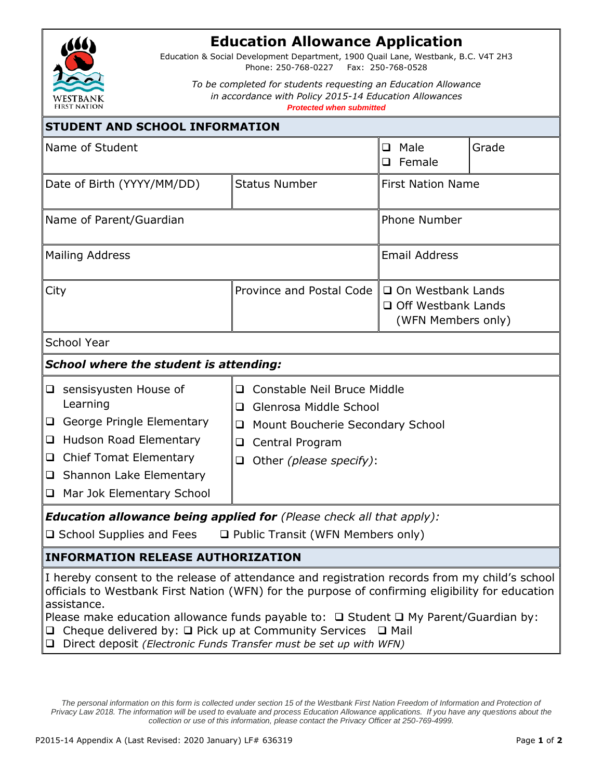

## **Education Allowance Application**

Education & Social Development Department, 1900 Quail Lane, Westbank, B.C. V4T 2H3 Phone: 250-768-0227 Fax: 250-768-0528

*To be completed for students requesting an Education Allowance in accordance with Policy 2015-14 Education Allowances Protected when submitted*

| <b>STUDENT AND SCHOOL INFORMATION</b>                                                                                                                                                                                                                                                                              |                                                                                                                                                                              |                                                                        |       |  |  |
|--------------------------------------------------------------------------------------------------------------------------------------------------------------------------------------------------------------------------------------------------------------------------------------------------------------------|------------------------------------------------------------------------------------------------------------------------------------------------------------------------------|------------------------------------------------------------------------|-------|--|--|
| Name of Student                                                                                                                                                                                                                                                                                                    |                                                                                                                                                                              | $\Box$ Male<br>$\Box$ Female                                           | Grade |  |  |
| Date of Birth (YYYY/MM/DD)                                                                                                                                                                                                                                                                                         | <b>Status Number</b>                                                                                                                                                         | <b>First Nation Name</b>                                               |       |  |  |
| Name of Parent/Guardian                                                                                                                                                                                                                                                                                            |                                                                                                                                                                              | <b>Phone Number</b>                                                    |       |  |  |
| <b>Mailing Address</b>                                                                                                                                                                                                                                                                                             |                                                                                                                                                                              | <b>Email Address</b>                                                   |       |  |  |
| City                                                                                                                                                                                                                                                                                                               | Province and Postal Code                                                                                                                                                     | □ On Westbank Lands<br>$\Box$ Off Westbank Lands<br>(WFN Members only) |       |  |  |
| <b>School Year</b>                                                                                                                                                                                                                                                                                                 |                                                                                                                                                                              |                                                                        |       |  |  |
| <b>School where the student is attending:</b>                                                                                                                                                                                                                                                                      |                                                                                                                                                                              |                                                                        |       |  |  |
| $\Box$ sensisyusten House of<br>Learning<br>George Pringle Elementary<br>□ Hudson Road Elementary<br>□ Chief Tomat Elementary<br>$\Box$ Shannon Lake Elementary<br>Mar Jok Elementary School<br>$\Box$                                                                                                             | □ Constable Neil Bruce Middle<br>Glenrosa Middle School<br>$\Box$<br>Mount Boucherie Secondary School<br>❏<br>Central Program<br>$\Box$<br>Other (please specify):<br>$\Box$ |                                                                        |       |  |  |
| <b>Education allowance being applied for</b> (Please check all that apply):<br>$\Box$ School Supplies and Fees                                                                                                                                                                                                     | □ Public Transit (WFN Members only)                                                                                                                                          |                                                                        |       |  |  |
| <b>INFORMATION RELEASE AUTHORIZATION</b>                                                                                                                                                                                                                                                                           |                                                                                                                                                                              |                                                                        |       |  |  |
| I hereby consent to the release of attendance and registration records from my child's school<br>officials to Westbank First Nation (WFN) for the purpose of confirming eligibility for education<br>assistance.<br>Please make education allowance funds payable to: $\Box$ Student $\Box$ My Parent/Guardian by: |                                                                                                                                                                              |                                                                        |       |  |  |

- $\Box$  Cheque delivered by:  $\Box$  Pick up at Community Services  $\Box$  Mail
- Direct deposit *(Electronic Funds Transfer must be set up with WFN)*

*The personal information on this form is collected under section 15 of the Westbank First Nation Freedom of Information and Protection of Privacy Law 2018. The information will be used to evaluate and process Education Allowance applications. If you have any questions about the collection or use of this information, please contact the Privacy Officer at 250-769-4999.*